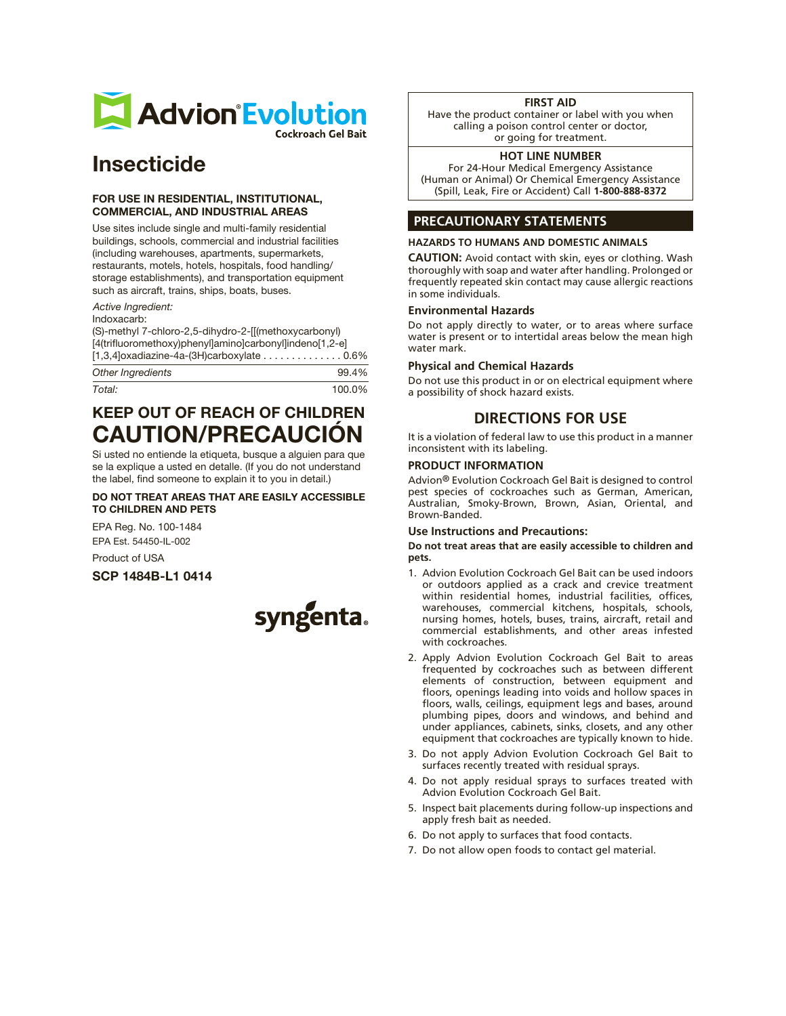

# Insecticide

#### FOR USE IN RESIDENTIAL, INSTITUTIONAL, COMMERCIAL, AND INDUSTRIAL AREAS

Use sites include single and multi-family residential buildings, schools, commercial and industrial facilities (including warehouses, apartments, supermarkets, restaurants, motels, hotels, hospitals, food handling/ storage establishments), and transportation equipment such as aircraft, trains, ships, boats, buses.

*Active Ingredient:*

Indoxacarb:

(S)-methyl 7-chloro-2,5-dihydro-2-[[(methoxycarbonyl) [4(trifluoromethoxy)phenyl]amino]carbonyl]indeno[1,2-e] [1,3,4]oxadiazine-4a-(3H)carboxylate . . . . . . . . . . . . . . 0.6%

| Other Ingredients | 99.4%  |
|-------------------|--------|
| Total:            | 100.0% |

# KEEP OUT OF REACH OF CHILDREN CAUTION/PRECAUCIÓN

Si usted no entiende la etiqueta, busque a alguien para que se la explique a usted en detalle. (If you do not understand the label, find someone to explain it to you in detail.)

#### DO NOT TREAT AREAS THAT ARE EASILY ACCESSIBLE TO CHILDREN AND PETS

EPA Reg. No. 100-1484 EPA Est. 54450-IL-002

Product of USA

SCP 1484B-L1 0414



#### **FIRST AID**

Have the product container or label with you when calling a poison control center or doctor, or going for treatment.

#### **HOT LINE NUMBER**

For 24-Hour Medical Emergency Assistance (Human or Animal) Or Chemical Emergency Assistance (Spill, Leak, Fire or Accident) Call **1-800-888-8372**

### **PRECAUTIONARY STATEMENTS**

#### **HAZARDS TO HUMANS AND DOMESTIC ANIMALS**

**CAUTION:** Avoid contact with skin, eyes or clothing. Wash thoroughly with soap and water after handling. Prolonged or frequently repeated skin contact may cause allergic reactions in some individuals.

#### **Environmental Hazards**

Do not apply directly to water, or to areas where surface water is present or to intertidal areas below the mean high water mark.

#### **Physical and Chemical Hazards**

Do not use this product in or on electrical equipment where a possibility of shock hazard exists.

# **DIRECTIONS FOR USE**

It is a violation of federal law to use this product in a manner inconsistent with its labeling.

#### **PRODUCT INFORMATION**

Advion® Evolution Cockroach Gel Bait is designed to control pest species of cockroaches such as German, American, Australian, Smoky-Brown, Brown, Asian, Oriental, and Brown-Banded.

#### **Use Instructions and Precautions:**

**Do not treat areas that are easily accessible to children and pets.**

- 1. Advion Evolution Cockroach Gel Bait can be used indoors or outdoors applied as a crack and crevice treatment within residential homes, industrial facilities, offices, warehouses, commercial kitchens, hospitals, schools, nursing homes, hotels, buses, trains, aircraft, retail and commercial establishments, and other areas infested with cockroaches.
- 2. Apply Advion Evolution Cockroach Gel Bait to areas frequented by cockroaches such as between different elements of construction, between equipment and floors, openings leading into voids and hollow spaces in floors, walls, ceilings, equipment legs and bases, around plumbing pipes, doors and windows, and behind and under appliances, cabinets, sinks, closets, and any other equipment that cockroaches are typically known to hide.
- 3. Do not apply Advion Evolution Cockroach Gel Bait to surfaces recently treated with residual sprays.
- 4. Do not apply residual sprays to surfaces treated with Advion Evolution Cockroach Gel Bait.
- 5. Inspect bait placements during follow-up inspections and apply fresh bait as needed.
- 6. Do not apply to surfaces that food contacts.
- 7. Do not allow open foods to contact gel material.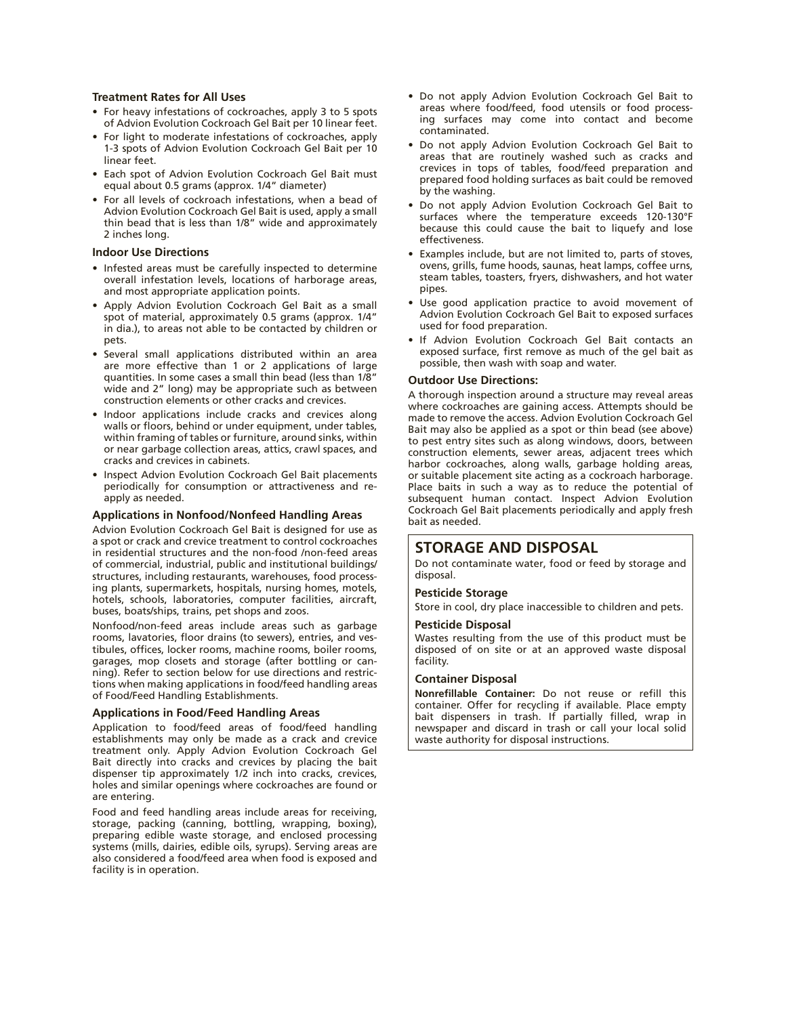#### **Treatment Rates for All Uses**

- For heavy infestations of cockroaches, apply 3 to 5 spots of Advion Evolution Cockroach Gel Bait per 10 linear feet.
- For light to moderate infestations of cockroaches, apply 1-3 spots of Advion Evolution Cockroach Gel Bait per 10 linear feet.
- Each spot of Advion Evolution Cockroach Gel Bait must equal about 0.5 grams (approx. 1/4" diameter)
- For all levels of cockroach infestations, when a bead of Advion Evolution Cockroach Gel Bait is used, apply a small thin bead that is less than 1/8" wide and approximately 2 inches long.

#### **Indoor Use Directions**

- Infested areas must be carefully inspected to determine overall infestation levels, locations of harborage areas, and most appropriate application points.
- Apply Advion Evolution Cockroach Gel Bait as a small spot of material, approximately 0.5 grams (approx. 1/4" in dia.), to areas not able to be contacted by children or pets.
- Several small applications distributed within an area are more effective than 1 or 2 applications of large quantities. In some cases a small thin bead (less than 1/8" wide and 2" long) may be appropriate such as between construction elements or other cracks and crevices.
- Indoor applications include cracks and crevices along walls or floors, behind or under equipment, under tables, within framing of tables or furniture, around sinks, within or near garbage collection areas, attics, crawl spaces, and cracks and crevices in cabinets.
- Inspect Advion Evolution Cockroach Gel Bait placements periodically for consumption or attractiveness and reapply as needed.

#### **Applications in Nonfood/Nonfeed Handling Areas**

Advion Evolution Cockroach Gel Bait is designed for use as a spot or crack and crevice treatment to control cockroaches in residential structures and the non-food /non-feed areas of commercial, industrial, public and institutional buildings/ structures, including restaurants, warehouses, food processing plants, supermarkets, hospitals, nursing homes, motels, hotels, schools, laboratories, computer facilities, aircraft, buses, boats/ships, trains, pet shops and zoos.

Nonfood/non-feed areas include areas such as garbage rooms, lavatories, floor drains (to sewers), entries, and vestibules, offices, locker rooms, machine rooms, boiler rooms, garages, mop closets and storage (after bottling or canning). Refer to section below for use directions and restrictions when making applications in food/feed handling areas of Food/Feed Handling Establishments.

#### **Applications in Food/Feed Handling Areas**

Application to food/feed areas of food/feed handling establishments may only be made as a crack and crevice treatment only. Apply Advion Evolution Cockroach Gel Bait directly into cracks and crevices by placing the bait dispenser tip approximately 1/2 inch into cracks, crevices, holes and similar openings where cockroaches are found or are entering.

Food and feed handling areas include areas for receiving, storage, packing (canning, bottling, wrapping, boxing), preparing edible waste storage, and enclosed processing systems (mills, dairies, edible oils, syrups). Serving areas are also considered a food/feed area when food is exposed and facility is in operation.

- Do not apply Advion Evolution Cockroach Gel Bait to areas where food/feed, food utensils or food processing surfaces may come into contact and become contaminated.
- Do not apply Advion Evolution Cockroach Gel Bait to areas that are routinely washed such as cracks and crevices in tops of tables, food/feed preparation and prepared food holding surfaces as bait could be removed by the washing.
- Do not apply Advion Evolution Cockroach Gel Bait to surfaces where the temperature exceeds 120-130°F because this could cause the bait to liquefy and lose effectiveness.
- Examples include, but are not limited to, parts of stoves, ovens, grills, fume hoods, saunas, heat lamps, coffee urns, steam tables, toasters, fryers, dishwashers, and hot water pipes.
- Use good application practice to avoid movement of Advion Evolution Cockroach Gel Bait to exposed surfaces used for food preparation.
- If Advion Evolution Cockroach Gel Bait contacts an exposed surface, first remove as much of the gel bait as possible, then wash with soap and water.

#### **Outdoor Use Directions:**

A thorough inspection around a structure may reveal areas where cockroaches are gaining access. Attempts should be made to remove the access. Advion Evolution Cockroach Gel Bait may also be applied as a spot or thin bead (see above) to pest entry sites such as along windows, doors, between construction elements, sewer areas, adjacent trees which harbor cockroaches, along walls, garbage holding areas, or suitable placement site acting as a cockroach harborage. Place baits in such a way as to reduce the potential of subsequent human contact. Inspect Advion Evolution Cockroach Gel Bait placements periodically and apply fresh bait as needed.

### **STORAGE AND DISPOSAL**

Do not contaminate water, food or feed by storage and disposal.

#### **Pesticide Storage**

Store in cool, dry place inaccessible to children and pets.

#### **Pesticide Disposal**

Wastes resulting from the use of this product must be disposed of on site or at an approved waste disposal facility.

#### **Container Disposal**

**Nonrefillable Container:** Do not reuse or refill this container. Offer for recycling if available. Place empty bait dispensers in trash. If partially filled, wrap in newspaper and discard in trash or call your local solid waste authority for disposal instructions.